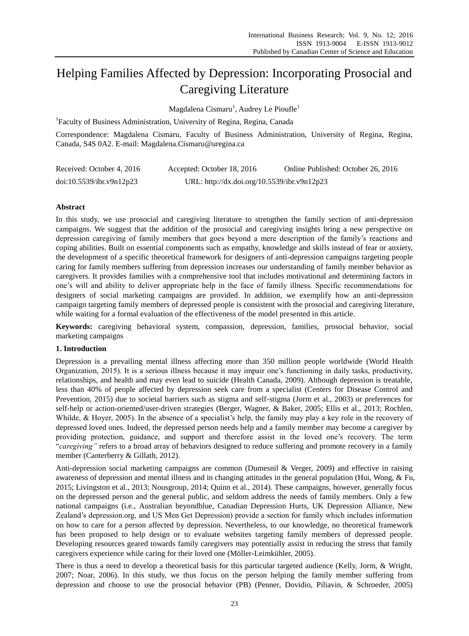# Helping Families Affected by Depression: Incorporating Prosocial and Caregiving Literature

Magdalena Cismaru<sup>1</sup>, Audrey Le Pioufle<sup>1</sup>

<sup>1</sup>Faculty of Business Administration, University of Regina, Regina, Canada

Correspondence: Magdalena Cismaru, Faculty of Business Administration, University of Regina, Regina, Canada, S4S 0A2. E-mail: Magdalena.Cismaru@uregina.ca

| Received: October 4, 2016 | Accepted: October 18, 2016                  | Online Published: October 26, 2016 |
|---------------------------|---------------------------------------------|------------------------------------|
| doi:10.5539/ibr.v9n12p23  | URL: http://dx.doi.org/10.5539/ibr.v9n12p23 |                                    |

# **Abstract**

In this study, we use prosocial and caregiving literature to strengthen the family section of anti-depression campaigns. We suggest that the addition of the prosocial and caregiving insights bring a new perspective on depression caregiving of family members that goes beyond a mere description of the family's reactions and coping abilities. Built on essential components such as empathy, knowledge and skills instead of fear or anxiety, the development of a specific theoretical framework for designers of anti-depression campaigns targeting people caring for family members suffering from depression increases our understanding of family member behavior as caregivers. It provides families with a comprehensive tool that includes motivational and determining factors in one's will and ability to deliver appropriate help in the face of family illness. Specific recommendations for designers of social marketing campaigns are provided. In addition, we exemplify how an anti-depression campaign targeting family members of depressed people is consistent with the prosocial and caregiving literature, while waiting for a formal evaluation of the effectiveness of the model presented in this article.

**Keywords:** caregiving behavioral system, compassion, depression, families, prosocial behavior, social marketing campaigns

## **1. Introduction**

Depression is a prevailing mental illness affecting more than 350 million people worldwide (World Health Organization, 2015). It is a serious illness because it may impair one's functioning in daily tasks, productivity, relationships, and health and may even lead to suicide (Health Canada, 2009). Although depression is treatable, less than 40% of people affected by depression seek care from a specialist (Centers for Disease Control and Prevention, 2015) due to societal barriers such as stigma and self-stigma (Jorm et al., 2003) or preferences for self-help or action-oriented/user-driven strategies (Berger, Wagner, & Baker, 2005; Ellis et al., 2013; Rochlen, Whilde, & Hoyer, 2005). In the absence of a specialist's help, the family may play a key role in the recovery of depressed loved ones. Indeed, the depressed person needs help and a family member may become a caregiver by providing protection, guidance, and support and therefore assist in the loved one's recovery. The term "caregiving" refers to a broad array of behaviors designed to reduce suffering and promote recovery in a family member (Canterberry & Gillath, 2012).

Anti-depression social marketing campaigns are common (Dumesnil & Verger, 2009) and effective in raising awareness of depression and mental illness and in changing attitudes in the general population (Hui, Wong, & Fu, 2015; Livingston et al., 2013; Nousgroup, 2014; Quinn et al., 2014). These campaigns, however, generally focus on the depressed person and the general public, and seldom address the needs of family members. Only a few national campaigns (i.e., Australian beyondblue, Canadian Depression Hurts, UK Depression Alliance, New Zealand's depression.org, and US Men Get Depression) provide a section for family which includes information on how to care for a person affected by depression. Nevertheless, to our knowledge, no theoretical framework has been proposed to help design or to evaluate websites targeting family members of depressed people. Developing resources geared towards family caregivers may potentially assist in reducing the stress that family caregivers experience while caring for their loved one (Möller-Leimkühler, 2005).

There is thus a need to develop a theoretical basis for this particular targeted audience (Kelly, Jorm, & Wright, 2007; Noar, 2006). In this study, we thus focus on the person helping the family member suffering from depression and choose to use the prosocial behavior (PB) (Penner, Dovidio, Piliavin, & Schroeder, 2005)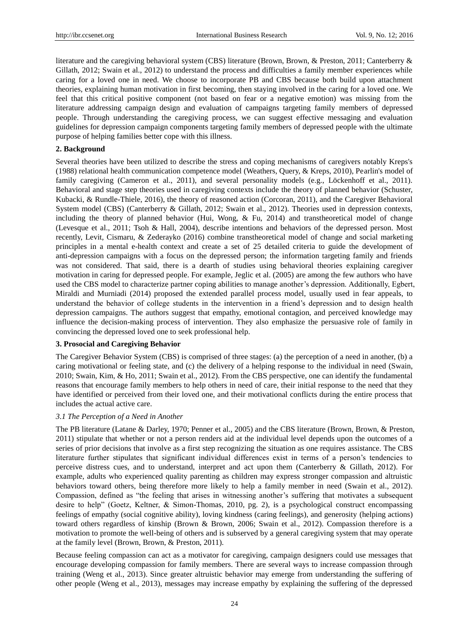literature and the caregiving behavioral system (CBS) literature (Brown, Brown, & Preston, 2011; Canterberry & Gillath, 2012; Swain et al., 2012) to understand the process and difficulties a family member experiences while caring for a loved one in need. We choose to incorporate PB and CBS because both build upon attachment theories, explaining human motivation in first becoming, then staying involved in the caring for a loved one. We feel that this critical positive component (not based on fear or a negative emotion) was missing from the literature addressing campaign design and evaluation of campaigns targeting family members of depressed people. Through understanding the caregiving process, we can suggest effective messaging and evaluation guidelines for depression campaign components targeting family members of depressed people with the ultimate purpose of helping families better cope with this illness.

### **2. Background**

Several theories have been utilized to describe the stress and coping mechanisms of caregivers notably Kreps's (1988) relational health communication competence model (Weathers, Query, & Kreps, 2010), Pearlin's model of family caregiving (Cameron et al., 2011), and several personality models (e.g., Löckenhoff et al., 2011). Behavioral and stage step theories used in caregiving contexts include the theory of planned behavior (Schuster, Kubacki, & Rundle-Thiele, 2016), the theory of reasoned action (Corcoran, 2011), and the Caregiver Behavioral System model (CBS) (Canterberry & Gillath, 2012; Swain et al., 2012). Theories used in depression contexts, including the theory of planned behavior (Hui, Wong, & Fu, 2014) and transtheoretical model of change (Levesque et al., 2011; Tsoh & Hall, 2004), describe intentions and behaviors of the depressed person. Most recently, Levit, Cismaru, & Zederayko (2016) combine transtheoretical model of change and social marketing principles in a mental e-health context and create a set of 25 detailed criteria to guide the development of anti-depression campaigns with a focus on the depressed person; the information targeting family and friends was not considered. That said, there is a dearth of studies using behavioral theories explaining caregiver motivation in caring for depressed people. For example, Jeglic et al. (2005) are among the few authors who have used the CBS model to characterize partner coping abilities to manage another's depression. Additionally, Egbert, Miraldi and Murniadi (2014) proposed the extended parallel process model, usually used in fear appeals, to understand the behavior of college students in the intervention in a friend's depression and to design health depression campaigns. The authors suggest that empathy, emotional contagion, and perceived knowledge may influence the decision-making process of intervention. They also emphasize the persuasive role of family in convincing the depressed loved one to seek professional help.

## **3. Prosocial and Caregiving Behavior**

The Caregiver Behavior System (CBS) is comprised of three stages: (a) the perception of a need in another, (b) a caring motivational or feeling state, and (c) the delivery of a helping response to the individual in need (Swain, 2010; Swain, Kim, & Ho, 2011; Swain et al., 2012). From the CBS perspective, one can identify the fundamental reasons that encourage family members to help others in need of care, their initial response to the need that they have identified or perceived from their loved one, and their motivational conflicts during the entire process that includes the actual active care.

# *3.1 The Perception of a Need in Another*

The PB literature (Latane & Darley, 1970; Penner et al., 2005) and the CBS literature (Brown, Brown, & Preston, 2011) stipulate that whether or not a person renders aid at the individual level depends upon the outcomes of a series of prior decisions that involve as a first step recognizing the situation as one requires assistance. The CBS literature further stipulates that significant individual differences exist in terms of a person's tendencies to perceive distress cues, and to understand, interpret and act upon them (Canterberry & Gillath, 2012). For example, adults who experienced quality parenting as children may express stronger compassion and altruistic behaviors toward others, being therefore more likely to help a family member in need (Swain et al., 2012). Compassion, defined as "the feeling that arises in witnessing another's suffering that motivates a subsequent desire to help" (Goetz, Keltner, & Simon-Thomas, 2010, pg. 2), is a psychological construct encompassing feelings of empathy (social cognitive ability), loving kindness (caring feelings), and generosity (helping actions) toward others regardless of kinship (Brown & Brown, 2006; Swain et al., 2012). Compassion therefore is a motivation to promote the well-being of others and is subserved by a general caregiving system that may operate at the family level (Brown, Brown, & Preston, 2011).

Because feeling compassion can act as a motivator for caregiving, campaign designers could use messages that encourage developing compassion for family members. There are several ways to increase compassion through training (Weng et al., 2013). Since greater altruistic behavior may emerge from understanding the suffering of other people (Weng et al., 2013), messages may increase empathy by explaining the suffering of the depressed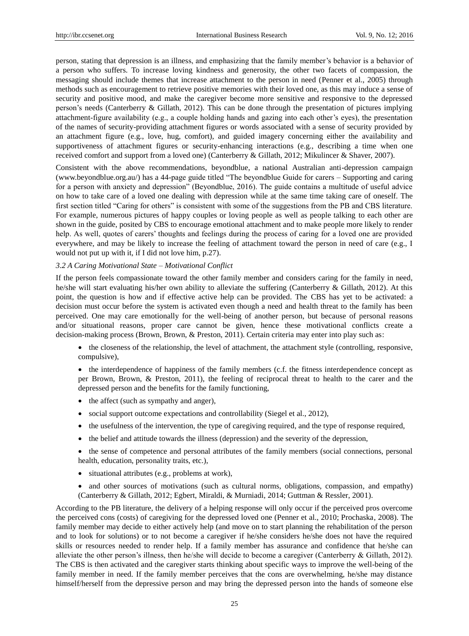person, stating that depression is an illness, and emphasizing that the family member's behavior is a behavior of a person who suffers. To increase loving kindness and generosity, the other two facets of compassion, the messaging should include themes that increase attachment to the person in need (Penner et al., 2005) through methods such as encouragement to retrieve positive memories with their loved one, as this may induce a sense of security and positive mood, and make the caregiver become more sensitive and responsive to the depressed person's needs (Canterberry & Gillath, 2012). This can be done through the presentation of pictures implying attachment-figure availability (e.g., a couple holding hands and gazing into each other's eyes), the presentation of the names of security-providing attachment figures or words associated with a sense of security provided by an attachment figure (e.g., love, hug, comfort), and guided imagery concerning either the availability and supportiveness of attachment figures or security-enhancing interactions (e.g., describing a time when one received comfort and support from a loved one) (Canterberry & Gillath, 2012; Mikulincer & Shaver, 2007).

Consistent with the above recommendations, beyondblue, a national Australian anti-depression campaign (www.beyondblue.org.au/) has a 44-page guide titled "The beyondblue Guide for carers – Supporting and caring for a person with anxiety and depression" (Beyondblue, 2016). The guide contains a multitude of useful advice on how to take care of a loved one dealing with depression while at the same time taking care of oneself. The first section titled "Caring for others" is consistent with some of the suggestions from the PB and CBS literature. For example, numerous pictures of happy couples or loving people as well as people talking to each other are shown in the guide, posited by CBS to encourage emotional attachment and to make people more likely to render help. As well, quotes of carers' thoughts and feelings during the process of caring for a loved one are provided everywhere, and may be likely to increase the feeling of attachment toward the person in need of care (e.g., I would not put up with it, if I did not love him, p.27).

#### *3.2 A Caring Motivational State – Motivational Conflict*

If the person feels compassionate toward the other family member and considers caring for the family in need, he/she will start evaluating his/her own ability to alleviate the suffering (Canterberry & Gillath, 2012). At this point, the question is how and if effective active help can be provided. The CBS has yet to be activated: a decision must occur before the system is activated even though a need and health threat to the family has been perceived. One may care emotionally for the well-being of another person, but because of personal reasons and/or situational reasons, proper care cannot be given, hence these motivational conflicts create a decision-making process (Brown, Brown, & Preston, 2011). Certain criteria may enter into play such as:

 $\bullet$  the closeness of the relationship, the level of attachment, the attachment style (controlling, responsive, compulsive),

• the interdependence of happiness of the family members (c.f. the fitness interdependence concept as per Brown, Brown, & Preston, 2011), the feeling of reciprocal threat to health to the carer and the depressed person and the benefits for the family functioning,

- the affect (such as sympathy and anger),
- social support outcome expectations and controllability (Siegel et al., 2012),
- the usefulness of the intervention, the type of caregiving required, and the type of response required,
- the belief and attitude towards the illness (depression) and the severity of the depression,
- the sense of competence and personal attributes of the family members (social connections, personal health, education, personality traits, etc.),
- situational attributes (e.g., problems at work),
- and other sources of motivations (such as cultural norms, obligations, compassion, and empathy) (Canterberry & Gillath, 2012; Egbert, Miraldi, & Murniadi, 2014; Guttman & Ressler, 2001).

According to the PB literature, the delivery of a helping response will only occur if the perceived pros overcome the perceived cons (costs) of caregiving for the depressed loved one (Penner et al., 2010; Prochaska, 2008). The family member may decide to either actively help (and move on to start planning the rehabilitation of the person and to look for solutions) or to not become a caregiver if he/she considers he/she does not have the required skills or resources needed to render help. If a family member has assurance and confidence that he/she can alleviate the other person's illness, then he/she will decide to become a caregiver (Canterberry & Gillath, 2012). The CBS is then activated and the caregiver starts thinking about specific ways to improve the well-being of the family member in need. If the family member perceives that the cons are overwhelming, he/she may distance himself/herself from the depressive person and may bring the depressed person into the hands of someone else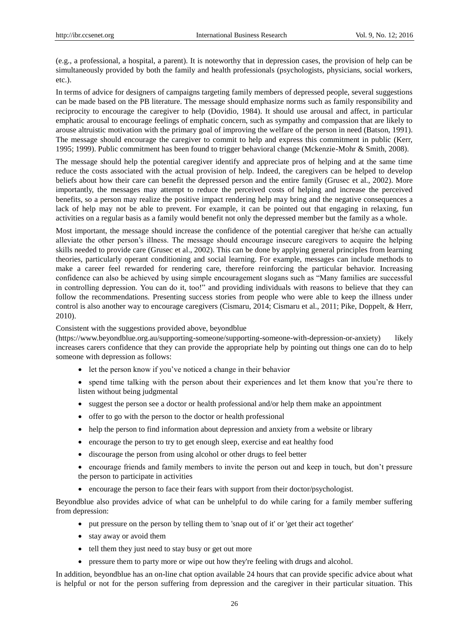(e.g., a professional, a hospital, a parent). It is noteworthy that in depression cases, the provision of help can be simultaneously provided by both the family and health professionals (psychologists, physicians, social workers, etc.).

In terms of advice for designers of campaigns targeting family members of depressed people, several suggestions can be made based on the PB literature. The message should emphasize norms such as family responsibility and reciprocity to encourage the caregiver to help (Dovidio, 1984). It should use arousal and affect, in particular emphatic arousal to encourage feelings of emphatic concern, such as sympathy and compassion that are likely to arouse altruistic motivation with the primary goal of improving the welfare of the person in need (Batson, 1991). The message should encourage the caregiver to commit to help and express this commitment in public (Kerr, 1995; 1999). Public commitment has been found to trigger behavioral change (Mckenzie-Mohr & Smith, 2008).

The message should help the potential caregiver identify and appreciate pros of helping and at the same time reduce the costs associated with the actual provision of help. Indeed, the caregivers can be helped to develop beliefs about how their care can benefit the depressed person and the entire family (Grusec et al., 2002). More importantly, the messages may attempt to reduce the perceived costs of helping and increase the perceived benefits, so a person may realize the positive impact rendering help may bring and the negative consequences a lack of help may not be able to prevent. For example, it can be pointed out that engaging in relaxing, fun activities on a regular basis as a family would benefit not only the depressed member but the family as a whole.

Most important, the message should increase the confidence of the potential caregiver that he/she can actually alleviate the other person's illness. The message should encourage insecure caregivers to acquire the helping skills needed to provide care (Grusec et al., 2002). This can be done by applying general principles from learning theories, particularly operant conditioning and social learning. For example, messages can include methods to make a career feel rewarded for rendering care, therefore reinforcing the particular behavior. Increasing confidence can also be achieved by using simple encouragement slogans such as "Many families are successful in controlling depression. You can do it, too!" and providing individuals with reasons to believe that they can follow the recommendations. Presenting success stories from people who were able to keep the illness under control is also another way to encourage caregivers (Cismaru, 2014; Cismaru et al., 2011; Pike, Doppelt, & Herr, 2010).

Consistent with the suggestions provided above, beyondblue

(https://www.beyondblue.org.au/supporting-someone/supporting-someone-with-depression-or-anxiety) likely increases carers confidence that they can provide the appropriate help by pointing out things one can do to help someone with depression as follows:

let the person know if you've noticed a change in their behavior

• spend time talking with the person about their experiences and let them know that you're there to listen without being judgmental

- suggest the person see a doctor or health professional and/or help them make an appointment
- offer to go with the person to the doctor or health professional
- help the person to find information about depression and anxiety from a website or library
- encourage the person to try to get enough sleep, exercise and eat healthy food
- discourage the person from using alcohol or other drugs to feel better
- encourage friends and family members to invite the person out and keep in touch, but don't pressure the person to participate in activities
- encourage the person to face their fears with support from their doctor/psychologist.

Beyondblue also provides advice of what can be unhelpful to do while caring for a family member suffering from depression:

- put pressure on the person by telling them to 'snap out of it' or 'get their act together'
- stay away or avoid them
- tell them they just need to stay busy or get out more
- pressure them to party more or wipe out how they're feeling with drugs and alcohol.

In addition, beyondblue has an on-line chat option available 24 hours that can provide specific advice about what is helpful or not for the person suffering from depression and the caregiver in their particular situation. This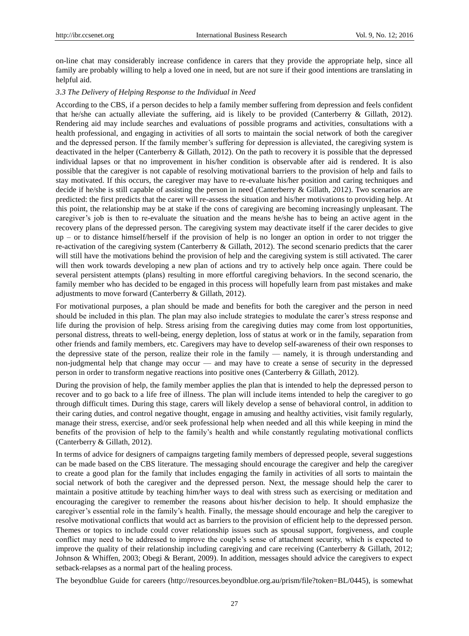on-line chat may considerably increase confidence in carers that they provide the appropriate help, since all family are probably willing to help a loved one in need, but are not sure if their good intentions are translating in helpful aid.

## *3.3 The Delivery of Helping Response to the Individual in Need*

According to the CBS, if a person decides to help a family member suffering from depression and feels confident that he/she can actually alleviate the suffering, aid is likely to be provided (Canterberry & Gillath, 2012). Rendering aid may include searches and evaluations of possible programs and activities, consultations with a health professional, and engaging in activities of all sorts to maintain the social network of both the caregiver and the depressed person. If the family member's suffering for depression is alleviated, the caregiving system is deactivated in the helper (Canterberry & Gillath, 2012). On the path to recovery it is possible that the depressed individual lapses or that no improvement in his/her condition is observable after aid is rendered. It is also possible that the caregiver is not capable of resolving motivational barriers to the provision of help and fails to stay motivated. If this occurs, the caregiver may have to re-evaluate his/her position and caring techniques and decide if he/she is still capable of assisting the person in need (Canterberry & Gillath, 2012). Two scenarios are predicted: the first predicts that the carer will re-assess the situation and his/her motivations to providing help. At this point, the relationship may be at stake if the cons of caregiving are becoming increasingly unpleasant. The caregiver's job is then to re-evaluate the situation and the means he/she has to being an active agent in the recovery plans of the depressed person. The caregiving system may deactivate itself if the carer decides to give up – or to distance himself/herself if the provision of help is no longer an option in order to not trigger the re-activation of the caregiving system (Canterberry & Gillath, 2012). The second scenario predicts that the carer will still have the motivations behind the provision of help and the caregiving system is still activated. The carer will then work towards developing a new plan of actions and try to actively help once again. There could be several persistent attempts (plans) resulting in more effortful caregiving behaviors. In the second scenario, the family member who has decided to be engaged in this process will hopefully learn from past mistakes and make adjustments to move forward (Canterberry & Gillath, 2012).

For motivational purposes, a plan should be made and benefits for both the caregiver and the person in need should be included in this plan. The plan may also include strategies to modulate the carer's stress response and life during the provision of help. Stress arising from the caregiving duties may come from lost opportunities, personal distress, threats to well-being, energy depletion, loss of status at work or in the family, separation from other friends and family members, etc. Caregivers may have to develop self-awareness of their own responses to the depressive state of the person, realize their role in the family — namely, it is through understanding and non-judgmental help that change may occur — and may have to create a sense of security in the depressed person in order to transform negative reactions into positive ones (Canterberry & Gillath, 2012).

During the provision of help, the family member applies the plan that is intended to help the depressed person to recover and to go back to a life free of illness. The plan will include items intended to help the caregiver to go through difficult times. During this stage, carers will likely develop a sense of behavioral control, in addition to their caring duties, and control negative thought, engage in amusing and healthy activities, visit family regularly, manage their stress, exercise, and/or seek professional help when needed and all this while keeping in mind the benefits of the provision of help to the family's health and while constantly regulating motivational conflicts (Canterberry & Gillath, 2012).

In terms of advice for designers of campaigns targeting family members of depressed people, several suggestions can be made based on the CBS literature. The messaging should encourage the caregiver and help the caregiver to create a good plan for the family that includes engaging the family in activities of all sorts to maintain the social network of both the caregiver and the depressed person. Next, the message should help the carer to maintain a positive attitude by teaching him/her ways to deal with stress such as exercising or meditation and encouraging the caregiver to remember the reasons about his/her decision to help. It should emphasize the caregiver's essential role in the family's health. Finally, the message should encourage and help the caregiver to resolve motivational conflicts that would act as barriers to the provision of efficient help to the depressed person. Themes or topics to include could cover relationship issues such as spousal support, forgiveness, and couple conflict may need to be addressed to improve the couple's sense of attachment security, which is expected to improve the quality of their relationship including caregiving and care receiving (Canterberry & Gillath, 2012; Johnson & Whiffen, 2003; Obegi & Berant, 2009). In addition, messages should advice the caregivers to expect setback-relapses as a normal part of the healing process.

The beyondblue Guide for careers (http://resources.beyondblue.org.au/prism/file?token=BL/0445), is somewhat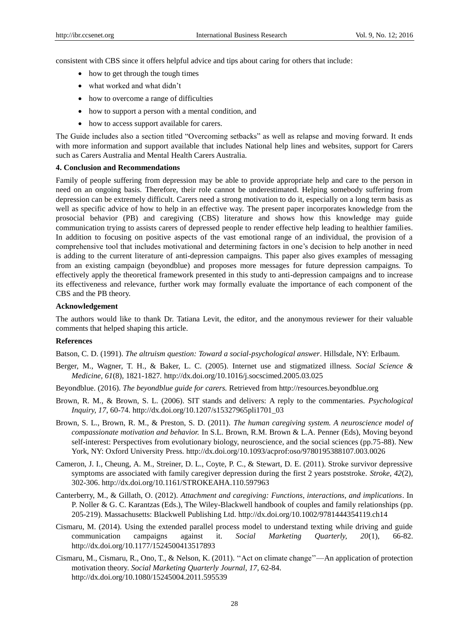consistent with CBS since it offers helpful advice and tips about caring for others that include:

- how to get through the tough times
- what worked and what didn't
- how to overcome a range of difficulties
- how to support a person with a mental condition, and
- how to access support available for carers.

The Guide includes also a section titled "Overcoming setbacks" as well as relapse and moving forward. It ends with more information and support available that includes National help lines and websites, support for Carers such as Carers Australia and Mental Health Carers Australia.

#### **4. Conclusion and Recommendations**

Family of people suffering from depression may be able to provide appropriate help and care to the person in need on an ongoing basis. Therefore, their role cannot be underestimated. Helping somebody suffering from depression can be extremely difficult. Carers need a strong motivation to do it, especially on a long term basis as well as specific advice of how to help in an effective way. The present paper incorporates knowledge from the prosocial behavior (PB) and caregiving (CBS) literature and shows how this knowledge may guide communication trying to assists carers of depressed people to render effective help leading to healthier families. In addition to focusing on positive aspects of the vast emotional range of an individual, the provision of a comprehensive tool that includes motivational and determining factors in one's decision to help another in need is adding to the current literature of anti-depression campaigns. This paper also gives examples of messaging from an existing campaign (beyondblue) and proposes more messages for future depression campaigns. To effectively apply the theoretical framework presented in this study to anti-depression campaigns and to increase its effectiveness and relevance, further work may formally evaluate the importance of each component of the CBS and the PB theory.

#### **Acknowledgement**

The authors would like to thank Dr. Tatiana Levit, the editor, and the anonymous reviewer for their valuable comments that helped shaping this article.

#### **References**

Batson, C. D. (1991). *The altruism question: Toward a social-psychological answer*. Hillsdale, NY: Erlbaum.

- Berger, M., Wagner, T. H., & Baker, L. C. (2005). Internet use and stigmatized illness*. Social Science & Medicine, 61*(8)*,* 1821*-*1827*.* <http://dx.doi.org/10.1016/j.socscimed.2005.03.025>
- Beyondblue. (2016). *The beyondblue guide for carers.* Retrieved from http://resources.beyondblue.org
- Brown, R. M., & Brown, S. L. (2006). SIT stands and delivers: A reply to the commentaries. *Psychological Inquiry, 17*, 60-74. [http://dx.doi.org/10.1207/s15327965pli1701\\_03](http://dx.doi.org/10.1207/s15327965pli1701_03)
- Brown, S. L., Brown, R. M., & Preston, S. D. (2011). *The human caregiving system. A neuroscience model of compassionate motivation and behavior.* In S.L. Brown, R.M. Brown & L.A. Penner (Eds), Moving beyond self-interest: Perspectives from evolutionary biology, neuroscience, and the social sciences (pp.75-88). New York, NY: Oxford University Press.<http://dx.doi.org/10.1093/acprof:oso/9780195388107.003.0026>
- Cameron, J. I., Cheung, A. M., Streiner, D. L., Coyte, P. C., & Stewart, D. E. (2011). Stroke survivor depressive symptoms are associated with family caregiver depression during the first 2 years poststroke. *Stroke, 42*(2)*,* 302-306. http://dx.doi.org/10.1161/STROKEAHA.110.597963
- Canterberry, M., & Gillath, O. (2012). *Attachment and caregiving: Functions, interactions, and implications*. In P. Noller & G. C. Karantzas (Eds.), The Wiley-Blackwell handbook of couples and family relationships (pp. 205-219). Massachusetts: Blackwell Publishing Ltd.<http://dx.doi.org/10.1002/9781444354119.ch14>
- Cismaru, M. (2014). Using the extended parallel process model to understand texting while driving and guide communication campaigns against it. *Social Marketing Quarterly, 20*(1)*,* 66-82. http://dx.doi.org/10.1177/1524500413517893
- Cismaru, M., Cismaru, R., Ono, T., & Nelson, K. (2011). "Act on climate change"—An application of protection motivation theory. *Social Marketing Quarterly Journal*, *17*, 62-84. <http://dx.doi.org/10.1080/15245004.2011.595539>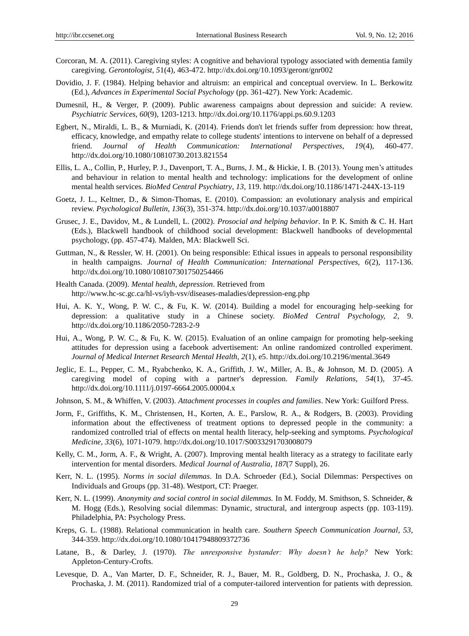- Corcoran, M. A. (2011). Caregiving styles: A cognitive and behavioral typology associated with dementia family caregiving. *Gerontologist, 5*1(4)*,* 463-472. http://dx.doi.org/10.1093/geront/gnr002
- Dovidio, J. F. (1984). Helping behavior and altruism: an empirical and conceptual overview. In L. Berkowitz (Ed.), *Advances in Experimental Social Psychology* (pp. 361-427). New York: Academic.
- Dumesnil, H., & Verger, P. (2009). Public awareness campaigns about depression and suicide: A review. *Psychiatric Services, 60*(9)*,* 1203-1213. http://dx.doi.org/10.1176/appi.ps.60.9.1203
- Egbert, N., Miraldi, L. B., & Murniadi, K. (2014). Friends don't let friends suffer from depression: how threat, efficacy, knowledge, and empathy relate to college students' intentions to intervene on behalf of a depressed friend. *Journal of Health Communication: International Perspectives, 19*(4)*,* 460-477. http://dx.doi.org/10.1080/10810730.2013.821554
- Ellis, L. A., Collin, P., Hurley, P. J., Davenport, T. A., Burns, J. M., & Hickie, I. B. (2013). Young men's attitudes and behaviour in relation to mental health and technology: implications for the development of online mental health services. *BioMed Central Psychiatry*, *13*, 119. http://dx.doi.org/10.1186/1471-244X-13-119
- Goetz, J. L., Keltner, D., & Simon-Thomas, E. (2010). Compassion: an evolutionary analysis and empirical review. *Psychological Bulletin, 136*(3)*,* 351-374.<http://dx.doi.org/10.1037/a0018807>
- Grusec, J. E., Davidov, M., & Lundell, L. (2002). *Prosocial and helping behavior*. In P. K. Smith & C. H. Hart (Eds.), Blackwell handbook of childhood social development: Blackwell handbooks of developmental psychology, (pp. 457-474). Malden, MA: Blackwell Sci.
- Guttman, N., & Ressler, W. H. (2001). On being responsible: Ethical issues in appeals to personal responsibility in health campaigns. *Journal of Health Communication: International Perspectives, 6*(2)*,* 117-136. <http://dx.doi.org/10.1080/108107301750254466>
- Health Canada. (2009). *Mental health, depression*. Retrieved from http://www.hc-sc.gc.ca/hl-vs/iyh-vsv/diseases-maladies/depression-eng.php
- Hui, A. K. Y., Wong, P. W. C., & Fu, K. W. (2014). Building a model for encouraging help-seeking for depression: a qualitative study in a Chinese society. *BioMed Central Psychology, 2*, 9. http://dx.doi.org/10.1186/2050-7283-2-9
- Hui, A., Wong, P. W. C., & Fu, K. W. (2015). Evaluation of an online campaign for promoting help-seeking attitudes for depression using a facebook advertisement: An online randomized controlled experiment. *Journal of Medical Internet Research Mental Health, 2*(1)*,* e5[. http://dx.doi.org/10.2196/mental.3649](http://dx.doi.org/10.2196/mental.3649)
- Jeglic, E. L., Pepper, C. M., Ryabchenko, K. A., Griffith, J. W., Miller, A. B., & Johnson, M. D. (2005). A caregiving model of coping with a partner's depression. *Family Relations, 54*(1)*,* 37-45. <http://dx.doi.org/10.1111/j.0197-6664.2005.00004.x>
- Johnson, S. M., & Whiffen, V. (2003). *Attachment processes in couples and families*. New York: Guilford Press.
- Jorm, F., Griffiths, K. M., Christensen, H., Korten, A. E., Parslow, R. A., & Rodgers, B. (2003). Providing information about the effectiveness of treatment options to depressed people in the community: a randomized controlled trial of effects on mental health literacy, help-seeking and symptoms. *Psychological Medicine, 33*(6)*,* 1071-1079.<http://dx.doi.org/10.1017/S0033291703008079>
- Kelly, C. M., Jorm, A. F., & Wright, A. (2007). Improving mental health literacy as a strategy to facilitate early intervention for mental disorders. *Medical Journal of Australia*, *187*(7 Suppl), 26.
- Kerr, N. L. (1995). *Norms in social dilemmas*. In D.A. Schroeder (Ed.), Social Dilemmas: Perspectives on Individuals and Groups (pp. 31-48). Westport, CT: Praeger.
- Kerr, N. L. (1999). *Anonymity and social control in social dilemmas.* In M. Foddy, M. Smithson, S. Schneider, & M. Hogg (Eds.), Resolving social dilemmas: Dynamic, structural, and intergroup aspects (pp. 103-119). Philadelphia, PA: Psychology Press.
- Kreps, G. L. (1988). Relational communication in health care. *Southern Speech Communication Journal*, *53,* 344-359.<http://dx.doi.org/10.1080/10417948809372736>
- Latane, B., & Darley, J. (1970). *The unresponsive bystander: Why doesn't he help?* New York: Appleton-Century-Crofts.
- Levesque, D. A., Van Marter, D. F., Schneider, R. J., Bauer, M. R., Goldberg, D. N., Prochaska, J. O., & Prochaska, J. M. (2011). Randomized trial of a computer-tailored intervention for patients with depression.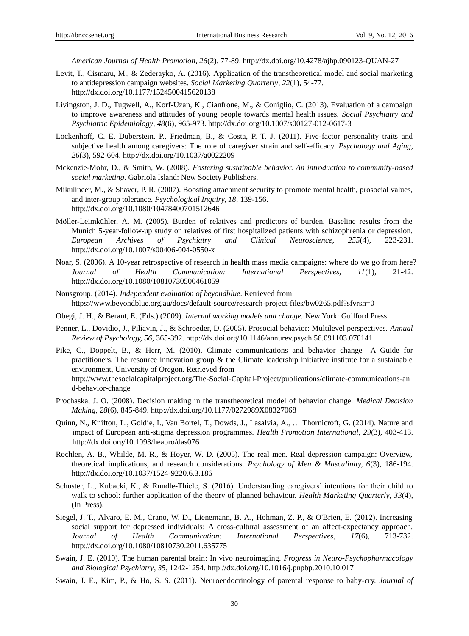*American Journal of Health Promotion, 26*(2)*,* 77-89. http://dx.doi.org/10.4278/ajhp.090123-QUAN-27

- Levit, T., Cismaru, M., & Zederayko, A. (2016). Application of the transtheoretical model and social marketing to antidepression campaign websites. *Social Marketing Quarterly*, *22*(1)*,* 54-77. http://dx.doi.org/10.1177/1524500415620138
- Livingston, J. D., Tugwell, A., Korf-Uzan, K., Cianfrone, M., & Coniglio, C. (2013). Evaluation of a campaign to improve awareness and attitudes of young people towards mental health issues. *Social Psychiatry and Psychiatric Epidemiology*, *48*(6)*,* 965-973. http://dx.doi.org/10.1007/s00127-012-0617-3
- Löckenhoff, C. E, Duberstein, P., Friedman, B., & Costa, P. T. J. (2011). Five-factor personality traits and subjective health among caregivers: The role of caregiver strain and self-efficacy. *Psychology and Aging*, *26*(3)*,* 592-604.<http://dx.doi.org/10.1037/a0022209>
- Mckenzie-Mohr, D., & Smith, W. (2008). *Fostering sustainable behavior. An introduction to community-based social marketing*. Gabriola Island: New Society Publishers.
- Mikulincer, M., & Shaver, P. R. (2007). Boosting attachment security to promote mental health, prosocial values, and inter-group tolerance. *Psychological Inquiry, 18,* 139-156. <http://dx.doi.org/10.1080/10478400701512646>
- Möller-Leimkühler, A. M. (2005). Burden of relatives and predictors of burden. Baseline results from the Munich 5-year-follow-up study on relatives of first hospitalized patients with schizophrenia or depression. *European Archives of Psychiatry and Clinical Neuroscience, 255*(4)*,* 223-231. <http://dx.doi.org/10.1007/s00406-004-0550-x>
- Noar, S. (2006). A 10-year retrospective of research in health mass media campaigns: where do we go from here? *Journal of Health Communication: International Perspectives, 11*(1)*,* 21-42. <http://dx.doi.org/10.1080/10810730500461059>
- Nousgroup. (2014). *Independent evaluation of beyondblue*. Retrieved from https://www.beyondblue.org.au/docs/default-source/research-project-files/bw0265.pdf?sfvrsn=0
- Obegi, J. H., & Berant, E. (Eds.) (2009). *Internal working models and change.* New York: Guilford Press.
- Penner, L., Dovidio, J., Piliavin, J., & Schroeder, D. (2005). Prosocial behavior: Multilevel perspectives. *Annual Review of Psychology, 56*, 365-392.<http://dx.doi.org/10.1146/annurev.psych.56.091103.070141>
- Pike, C., Doppelt, B., & Herr, M. (2010). Climate communications and behavior change—A Guide for practitioners. The resource innovation group  $\&$  the Climate leadership initiative institute for a sustainable environment, University of Oregon. Retrieved from http://www.thesocialcapitalproject.org/The-Social-Capital-Project/publications/climate-communications-an d-behavior-change
- Prochaska, J. O. (2008). Decision making in the transtheoretical model of behavior change. *Medical Decision Making*, *28*(6)*,* 845-849. http://dx.doi.org/10.1177/0272989X08327068
- [Quinn,](http://heapro.oxfordjournals.org/search?author1=Neil+Quinn&sortspec=date&submit=Submit) N., [Knifton,](http://heapro.oxfordjournals.org/search?author1=Lee+Knifton&sortspec=date&submit=Submit) L., [Goldie,](http://heapro.oxfordjournals.org/search?author1=Isabella+Goldie&sortspec=date&submit=Submit) I., [Van Bortel,](http://heapro.oxfordjournals.org/search?author1=Tine+Van+Bortel&sortspec=date&submit=Submit) T., [Dowds,](http://heapro.oxfordjournals.org/search?author1=Julie+Dowds&sortspec=date&submit=Submit) J., [Lasalvia,](http://heapro.oxfordjournals.org/search?author1=Antonio+Lasalvia&sortspec=date&submit=Submit) A., … [Thornicroft,](http://heapro.oxfordjournals.org/search?author1=Graham+Thornicroft&sortspec=date&submit=Submit) G. (2014). Nature and impact of European anti-stigma depression programmes. *Health Promotion International*, *29*(3)*,* 403-413. <http://dx.doi.org/10.1093/heapro/das076>
- Rochlen, A. B., Whilde, M. R., & Hoyer, W. D. (2005). The real men. Real depression campaign: Overview, theoretical implications, and research considerations. *Psychology of Men & Masculinity, 6*(3)*,* 186-194. <http://dx.doi.org/10.1037/1524-9220.6.3.186>
- Schuster, L., Kubacki, K., & Rundle-Thiele, S. (2016). Understanding caregivers' intentions for their child to walk to school: further application of the theory of planned behaviour. *Health Marketing Quarterly*, *33*(4)*,* (In Press).
- Siegel, J. T., Alvaro, E. M., Crano, W. D., Lienemann, B. A., Hohman, Z. P., & O'Brien, E. (2012). Increasing social support for depressed individuals: A cross-cultural assessment of an affect-expectancy approach. *Journal of Health Communication: International Perspectives*, *17*(6)*,* 713-732. http://dx.doi.org/10.1080/10810730.2011.635775
- Swain, J. E. (2010). The human parental brain: In vivo neuroimaging. *Progress in Neuro-Psychopharmacology and Biological Psychiatry*, *35*, 1242-1254[. http://dx.doi.org/10.1016/j.pnpbp.2010.10.017](http://dx.doi.org/10.1016/j.pnpbp.2010.10.017)
- Swain, J. E., Kim, P., & Ho, S. S. (2011). Neuroendocrinology of parental response to baby-cry. *Journal of*